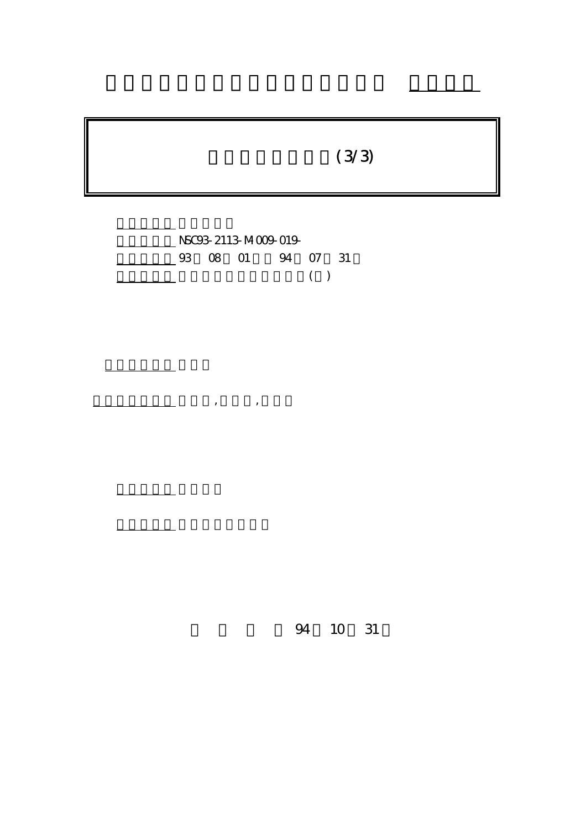# $(3/3)$

行政院國家科學委員會專題研究計畫 成果報告



計畫參與人員: 吳佳燕,楊勝凱,莊素琴

計畫主持人: 李遠鵬

報告類型: 完整報告

。<br>在前書 : 本計畫可公開查詢

94 10 31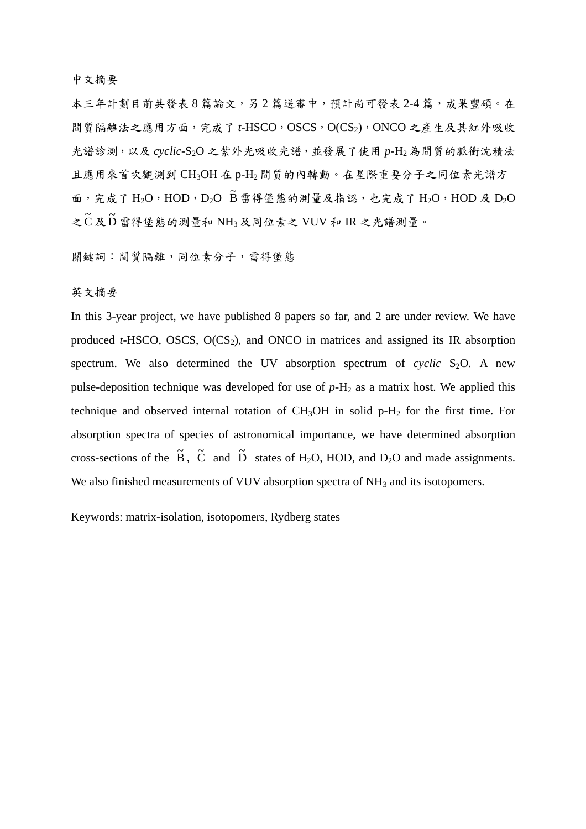#### 中文摘要

本三年計劃目前共發表8篇論文,另2篇送審中,預計尚可發表2-4篇,成果豐碩。在 間質隔離法之應用方面,完成了 t-HSCO, OSCS, O(CS<sub>2</sub>), ONCO 之產生及其紅外吸收 光譜診測,以及 *cyclic-*S2O 之紫外光吸收光譜,並發展了使用 *p*-H2 為間質的脈衝沈積法 且應用來首次觀測到 CH3OH 在 p-H2 間質的內轉動。在星際重要分子之同位素光譜方 面,完成了 H<sub>2</sub>O, HOD, D<sub>2</sub>O B 雷得堡態的測量及指認,也完成了 H<sub>2</sub>O, HOD 及 D<sub>2</sub>O 之  $\tilde{\text{C}}$ 及  $\tilde{\text{D}}$  雷得堡態的測量和 NH3 及同位素之 VUV 和 IR 之光譜測量。

關鍵詞:間質隔離,同位素分子,雷得堡態

#### 英文摘要

In this 3-year project, we have published 8 papers so far, and 2 are under review. We have produced  $t$ -HSCO, OSCS,  $O(CS_2)$ , and ONCO in matrices and assigned its IR absorption spectrum. We also determined the UV absorption spectrum of *cyclic*  $S_2O$ . A new pulse-deposition technique was developed for use of  $p-H_2$  as a matrix host. We applied this technique and observed internal rotation of  $CH<sub>3</sub>OH$  in solid p- $H<sub>2</sub>$  for the first time. For absorption spectra of species of astronomical importance, we have determined absorption cross-sections of the  $\tilde{B}$ ,  $\tilde{C}$  and  $\tilde{D}$  states of H<sub>2</sub>O, HOD, and D<sub>2</sub>O and made assignments. We also finished measurements of VUV absorption spectra of NH<sub>3</sub> and its isotopomers.

Keywords: matrix-isolation, isotopomers, Rydberg states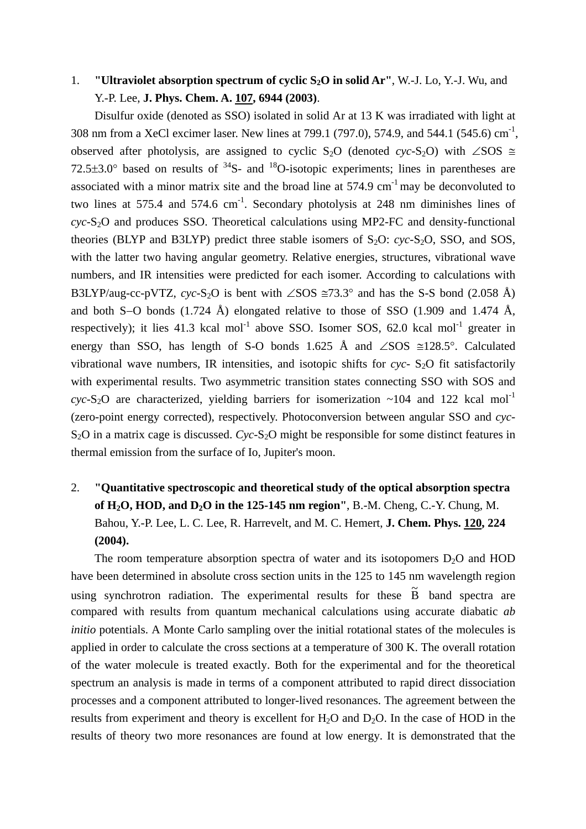## 1. **"Ultraviolet absorption spectrum of cyclic S2O in solid Ar"**, W.-J. Lo, Y.-J. Wu, and Y.-P. Lee, **J. Phys. Chem. A. 107, 6944 (2003)**.

 Disulfur oxide (denoted as SSO) isolated in solid Ar at 13 K was irradiated with light at 308 nm from a XeCl excimer laser. New lines at 799.1 (797.0), 574.9, and 544.1 (545.6) cm<sup>-1</sup>, observed after photolysis, are assigned to cyclic S<sub>2</sub>O (denoted *cyc*-S<sub>2</sub>O) with ∠SOS  $\cong$  $72.5\pm3.0^{\circ}$  based on results of  $^{34}S$ - and  $^{18}O$ -isotopic experiments; lines in parentheses are associated with a minor matrix site and the broad line at  $574.9 \text{ cm}^{-1}$  may be deconvoluted to two lines at 575.4 and 574.6  $cm^{-1}$ . Secondary photolysis at 248 nm diminishes lines of *cyc-S<sub>2</sub>O* and produces SSO. Theoretical calculations using MP2-FC and density-functional theories (BLYP and B3LYP) predict three stable isomers of  $S_2O$ :  $cyc-S_2O$ , SSO, and SOS, with the latter two having angular geometry. Relative energies, structures, vibrational wave numbers, and IR intensities were predicted for each isomer. According to calculations with B3LYP/aug-cc-pVTZ, *cyc-S*<sub>2</sub>O is bent with ∠SOS  $\cong$ 73.3° and has the S-S bond (2.058 Å) and both S−O bonds (1.724 Å) elongated relative to those of SSO (1.909 and 1.474 Å, respectively); it lies  $41.3$  kcal mol<sup>-1</sup> above SSO. Isomer SOS, 62.0 kcal mol<sup>-1</sup> greater in energy than SSO, has length of S-O bonds 1.625 Å and ∠SOS ≅128.5°. Calculated vibrational wave numbers, IR intensities, and isotopic shifts for  $cyc - S<sub>2</sub>O$  fit satisfactorily with experimental results. Two asymmetric transition states connecting SSO with SOS and  $\text{cyc-S}_2\text{O}$  are characterized, yielding barriers for isomerization ~104 and 122 kcal mol<sup>-1</sup> (zero-point energy corrected), respectively. Photoconversion between angular SSO and *cyc*-S<sub>2</sub>O in a matrix cage is discussed. *Cyc*-S<sub>2</sub>O might be responsible for some distinct features in thermal emission from the surface of Io, Jupiter's moon.

# 2. **"Quantitative spectroscopic and theoretical study of the optical absorption spectra of H2O, HOD, and D2O in the 125-145 nm region"**, B.-M. Cheng, C.-Y. Chung, M. Bahou, Y.-P. Lee, L. C. Lee, R. Harrevelt, and M. C. Hemert, **J. Chem. Phys. 120, 224 (2004).**

The room temperature absorption spectra of water and its isotopomers  $D_2O$  and  $HOD$ have been determined in absolute cross section units in the 125 to 145 nm wavelength region using synchrotron radiation. The experimental results for these  $\tilde{B}$  band spectra are compared with results from quantum mechanical calculations using accurate diabatic *ab initio* potentials. A Monte Carlo sampling over the initial rotational states of the molecules is applied in order to calculate the cross sections at a temperature of 300 K. The overall rotation of the water molecule is treated exactly. Both for the experimental and for the theoretical spectrum an analysis is made in terms of a component attributed to rapid direct dissociation processes and a component attributed to longer-lived resonances. The agreement between the results from experiment and theory is excellent for  $H_2O$  and  $D_2O$ . In the case of HOD in the results of theory two more resonances are found at low energy. It is demonstrated that the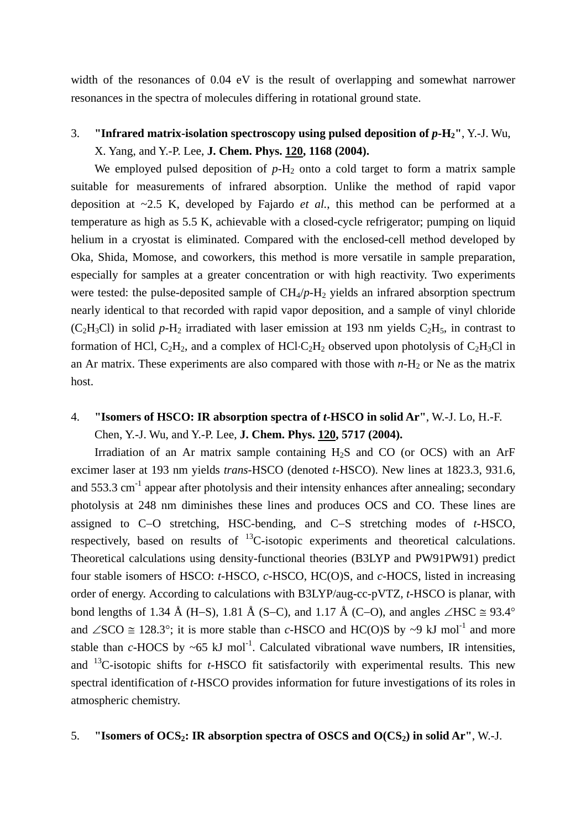width of the resonances of 0.04 eV is the result of overlapping and somewhat narrower resonances in the spectra of molecules differing in rotational ground state.

#### 3. **"Infrared matrix-isolation spectroscopy using pulsed deposition of**  $p$ **-H<sub>2</sub>", Y.-J. Wu,** X. Yang, and Y.-P. Lee, **J. Chem. Phys. 120, 1168 (2004).**

We employed pulsed deposition of  $p-H_2$  onto a cold target to form a matrix sample suitable for measurements of infrared absorption. Unlike the method of rapid vapor deposition at ~2.5 K, developed by Fajardo *et al.*, this method can be performed at a temperature as high as 5.5 K, achievable with a closed-cycle refrigerator; pumping on liquid helium in a cryostat is eliminated. Compared with the enclosed-cell method developed by Oka, Shida, Momose, and coworkers, this method is more versatile in sample preparation, especially for samples at a greater concentration or with high reactivity. Two experiments were tested: the pulse-deposited sample of  $CH_4/p-H_2$  yields an infrared absorption spectrum nearly identical to that recorded with rapid vapor deposition, and a sample of vinyl chloride  $(C_2H_3Cl)$  in solid *p*-H<sub>2</sub> irradiated with laser emission at 193 nm yields  $C_2H_5$ , in contrast to formation of HCl,  $C_2H_2$ , and a complex of HCl⋅C<sub>2</sub>H<sub>2</sub> observed upon photolysis of C<sub>2</sub>H<sub>3</sub>Cl in an Ar matrix. These experiments are also compared with those with  $n-H_2$  or Ne as the matrix host.

## 4. **"Isomers of HSCO: IR absorption spectra of** *t***-HSCO in solid Ar"**, W.-J. Lo, H.-F. Chen, Y.-J. Wu, and Y.-P. Lee, **J. Chem. Phys. 120, 5717 (2004).**

Irradiation of an Ar matrix sample containing  $H_2S$  and CO (or OCS) with an ArF excimer laser at 193 nm yields *trans*-HSCO (denoted *t*-HSCO). New lines at 1823.3, 931.6, and  $553.3 \text{ cm}^{-1}$  appear after photolysis and their intensity enhances after annealing; secondary photolysis at 248 nm diminishes these lines and produces OCS and CO. These lines are assigned to C−O stretching, HSC-bending, and C−S stretching modes of *t*-HSCO, respectively, based on results of  $^{13}$ C-isotopic experiments and theoretical calculations. Theoretical calculations using density-functional theories (B3LYP and PW91PW91) predict four stable isomers of HSCO: *t*-HSCO, *c*-HSCO, HC(O)S, and *c*-HOCS, listed in increasing order of energy. According to calculations with B3LYP/aug-cc-pVTZ, *t-*HSCO is planar, with bond lengths of 1.34 Å (H–S), 1.81 Å (S–C), and 1.17 Å (C–O), and angles ∠HSC  $\cong$  93.4° and ∠SCO  $\cong$  128.3°; it is more stable than *c*-HSCO and HC(O)S by ~9 kJ mol<sup>-1</sup> and more stable than  $c$ -HOCS by  $\sim$ 65 kJ mol<sup>-1</sup>. Calculated vibrational wave numbers, IR intensities, and 13C-isotopic shifts for *t-*HSCO fit satisfactorily with experimental results. This new spectral identification of *t-*HSCO provides information for future investigations of its roles in atmospheric chemistry.

#### 5. **"Isomers of OCS2: IR absorption spectra of OSCS and O(CS2) in solid Ar"**, W.-J.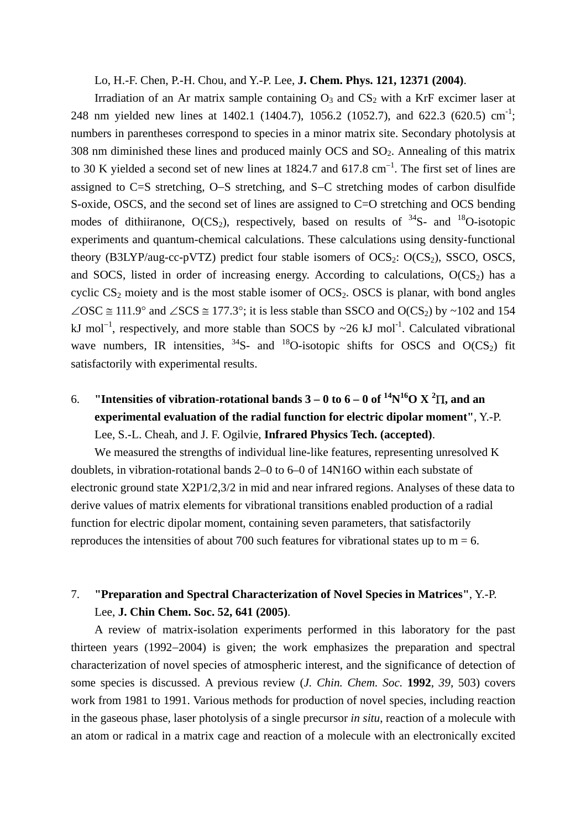#### Lo, H.-F. Chen, P.-H. Chou, and Y.-P. Lee, **J. Chem. Phys. 121, 12371 (2004)**.

Irradiation of an Ar matrix sample containing  $O_3$  and  $CS_2$  with a KrF excimer laser at 248 nm yielded new lines at 1402.1 (1404.7), 1056.2 (1052.7), and 622.3 (620.5) cm<sup>-1</sup>; numbers in parentheses correspond to species in a minor matrix site. Secondary photolysis at  $308$  nm diminished these lines and produced mainly OCS and  $SO<sub>2</sub>$ . Annealing of this matrix to 30 K yielded a second set of new lines at 1824.7 and 617.8 cm<sup>-1</sup>. The first set of lines are assigned to C=S stretching, O−S stretching, and S−C stretching modes of carbon disulfide S-oxide, OSCS, and the second set of lines are assigned to C=O stretching and OCS bending modes of dithiiranone,  $O(CS_2)$ , respectively, based on results of  $34S$ - and  $18O$ -isotopic experiments and quantum-chemical calculations. These calculations using density-functional theory (B3LYP/aug-cc-pVTZ) predict four stable isomers of  $OCS_2$ :  $O(CS_2)$ , SSCO, OSCS, and SOCS, listed in order of increasing energy. According to calculations,  $O(CS<sub>2</sub>)$  has a cyclic  $CS_2$  moiety and is the most stable isomer of  $OCS_2$ . OSCS is planar, with bond angles ∠OSC  $\cong$  111.9° and ∠SCS  $\cong$  177.3°; it is less stable than SSCO and O(CS<sub>2</sub>) by ~102 and 154 kJ mol<sup>-1</sup>, respectively, and more stable than SOCS by ~26 kJ mol<sup>-1</sup>. Calculated vibrational wave numbers, IR intensities,  $3^4$ S- and  $1^8$ O-isotopic shifts for OSCS and O(CS<sub>2</sub>) fit satisfactorily with experimental results.

## 6. **"Intensities of vibration-rotational bands**  $3-0$  **to**  $6-0$  **of**  $^{14}N^{16}O X^2\Pi$ **, and an experimental evaluation of the radial function for electric dipolar moment"**, Y.-P. Lee, S.-L. Cheah, and J. F. Ogilvie, **Infrared Physics Tech. (accepted)**.

We measured the strengths of individual line-like features, representing unresolved K doublets, in vibration-rotational bands 2–0 to 6–0 of 14N16O within each substate of electronic ground state X2P1/2,3/2 in mid and near infrared regions. Analyses of these data to derive values of matrix elements for vibrational transitions enabled production of a radial function for electric dipolar moment, containing seven parameters, that satisfactorily reproduces the intensities of about 700 such features for vibrational states up to  $m = 6$ .

### 7. **"Preparation and Spectral Characterization of Novel Species in Matrices"**, Y.-P. Lee, **J. Chin Chem. Soc. 52, 641 (2005)**.

 A review of matrix-isolation experiments performed in this laboratory for the past thirteen years (1992−2004) is given; the work emphasizes the preparation and spectral characterization of novel species of atmospheric interest, and the significance of detection of some species is discussed. A previous review (*J. Chin. Chem. Soc.* **1992**, *39*, 503) covers work from 1981 to 1991. Various methods for production of novel species, including reaction in the gaseous phase, laser photolysis of a single precursor *in situ*, reaction of a molecule with an atom or radical in a matrix cage and reaction of a molecule with an electronically excited